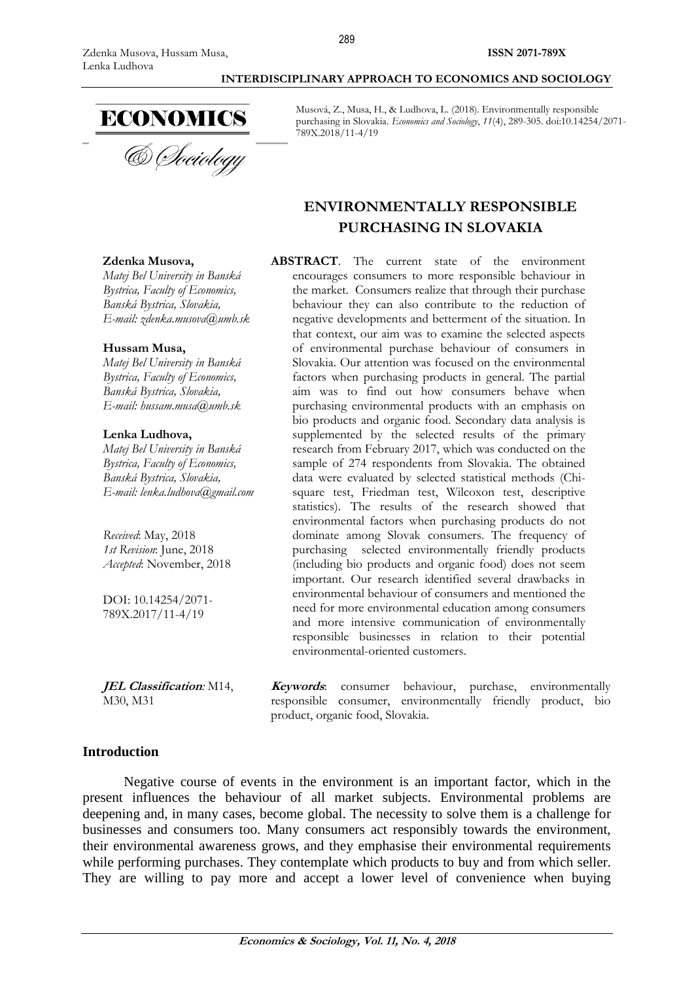**Zdenka Musova,**

**Hussam Musa,**

*Matej Bel University in Banská Bystrica, Faculty of Economics, [Banská Bystrica](https://en.wikipedia.org/wiki/Podgorica), Slovakia, E-mail: zdenka.musova@umb.sk* 

### **INTERDISCIPLINARY APPROACH TO ECONOMICS AND SOCIOLOGY**



Musová, Z., Musa, H., & Ludhova, L. (2018). Environmentally responsible purchasing in Slovakia. *Economics and Sociology*, *11*(4), 289-305. doi:10.14254/2071- 789X.2018/11-4/19

# **ENVIRONMENTALLY RESPONSIBLE PURCHASING IN SLOVAKIA**

**ABSTRACT**. The current state of the environment encourages consumers to more responsible behaviour in the market. Consumers realize that through their purchase behaviour they can also contribute to the reduction of negative developments and betterment of the situation. In that context, our aim was to examine the selected aspects of environmental purchase behaviour of consumers in Slovakia. Our attention was focused on the environmental factors when purchasing products in general. The partial aim was to find out how consumers behave when purchasing environmental products with an emphasis on bio products and organic food. Secondary data analysis is supplemented by the selected results of the primary research from February 2017, which was conducted on the sample of 274 respondents from Slovakia. The obtained data were evaluated by selected statistical methods (Chisquare test, Friedman test, Wilcoxon test, descriptive statistics). The results of the research showed that environmental factors when purchasing products do not dominate among Slovak consumers. The frequency of purchasing selected environmentally friendly products (including bio products and organic food) does not seem important. Our research identified several drawbacks in environmental behaviour of consumers and mentioned the need for more environmental education among consumers and more intensive communication of environmentally responsible businesses in relation to their potential environmental-oriented customers.

*[Banská Bystrica](https://en.wikipedia.org/wiki/Podgorica), Slovakia, E-mail: hussam.musa@umb.sk*  **Lenka Ludhova,**

*Matej Bel University in Banská Bystrica, Faculty of Economics,*

*Matej Bel University in Banská Bystrica, Faculty of Economics, B[anská Bystrica](https://en.wikipedia.org/wiki/Podgorica), Slovakia, E-mail: lenka.ludhova@gmail.com* 

*Received*: May, 2018 *1st Revision*: June, 2018 *Accepted*: November, 2018

DOI: 10.14254/2071- 789X.2017/11-4/19

**JEL Classification***:* M14, M30, M31

**Keywords**: consumer behaviour, purchase, environmentally responsible consumer, environmentally friendly product, bio product, organic food, Slovakia.

# **Introduction**

Negative course of events in the environment is an important factor, which in the present influences the behaviour of all market subjects. Environmental problems are deepening and, in many cases, become global. The necessity to solve them is a challenge for businesses and consumers too. Many consumers act responsibly towards the environment, their environmental awareness grows, and they emphasise their environmental requirements while performing purchases. They contemplate which products to buy and from which seller. They are willing to pay more and accept a lower level of convenience when buying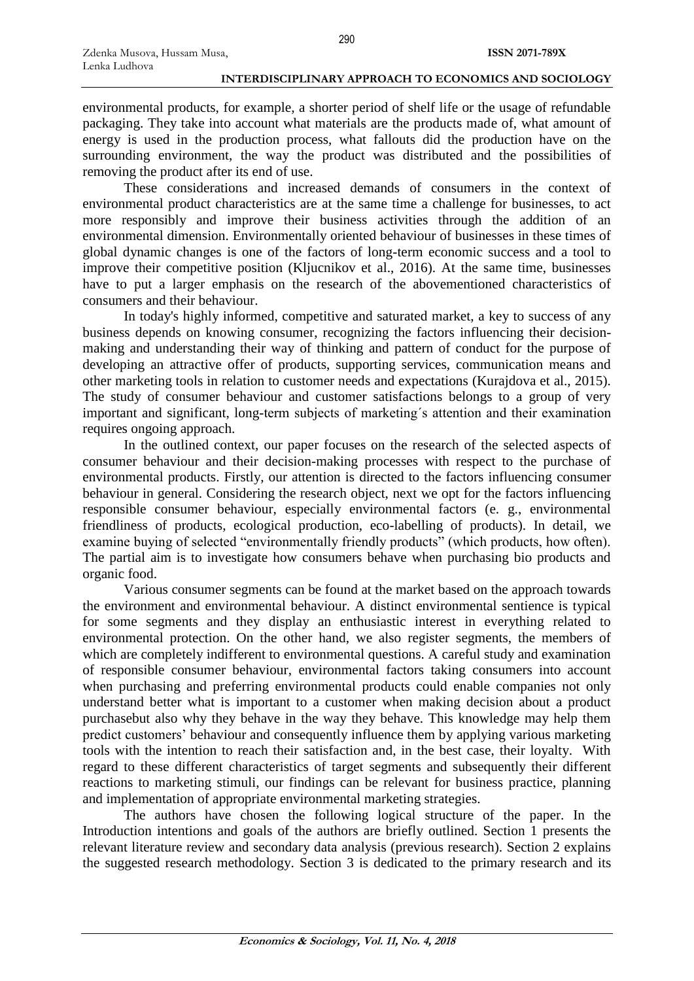environmental products, for example, a shorter period of shelf life or the usage of refundable packaging. They take into account what materials are the products made of, what amount of energy is used in the production process, what fallouts did the production have on the surrounding environment, the way the product was distributed and the possibilities of removing the product after its end of use.

These considerations and increased demands of consumers in the context of environmental product characteristics are at the same time a challenge for businesses, to act more responsibly and improve their business activities through the addition of an environmental dimension. Environmentally oriented behaviour of businesses in these times of global dynamic changes is one of the factors of long-term economic success and a tool to improve their competitive position (Kljucnikov et al., 2016). At the same time, businesses have to put a larger emphasis on the research of the abovementioned characteristics of consumers and their behaviour.

In today's highly informed, competitive and saturated market, a key to success of any business depends on knowing consumer, recognizing the factors influencing their decisionmaking and understanding their way of thinking and pattern of conduct for the purpose of developing an attractive offer of products, supporting services, communication means and other marketing tools in relation to customer needs and expectations (Kurajdova et al., 2015). The study of consumer behaviour and customer satisfactions belongs to a group of very important and significant, long-term subjects of marketing´s attention and their examination requires ongoing approach.

In the outlined context, our paper focuses on the research of the selected aspects of consumer behaviour and their decision-making processes with respect to the purchase of environmental products. Firstly, our attention is directed to the factors influencing consumer behaviour in general. Considering the research object, next we opt for the factors influencing responsible consumer behaviour, especially environmental factors (e. g., environmental friendliness of products, ecological production, eco-labelling of products). In detail, we examine buying of selected "environmentally friendly products" (which products, how often). The partial aim is to investigate how consumers behave when purchasing bio products and organic food.

Various consumer segments can be found at the market based on the approach towards the environment and environmental behaviour. A distinct environmental sentience is typical for some segments and they display an enthusiastic interest in everything related to environmental protection. On the other hand, we also register segments, the members of which are completely indifferent to environmental questions. A careful study and examination of responsible consumer behaviour, environmental factors taking consumers into account when purchasing and preferring environmental products could enable companies not only understand better what is important to a customer when making decision about a product purchasebut also why they behave in the way they behave. This knowledge may help them predict customers' behaviour and consequently influence them by applying various marketing tools with the intention to reach their satisfaction and, in the best case, their loyalty. With regard to these different characteristics of target segments and subsequently their different reactions to marketing stimuli, our findings can be relevant for business practice, planning and implementation of appropriate environmental marketing strategies.

The authors have chosen the following logical structure of the paper. In the Introduction intentions and goals of the authors are briefly outlined. Section 1 presents the relevant literature review and secondary data analysis (previous research). Section 2 explains the suggested research methodology. Section 3 is dedicated to the primary research and its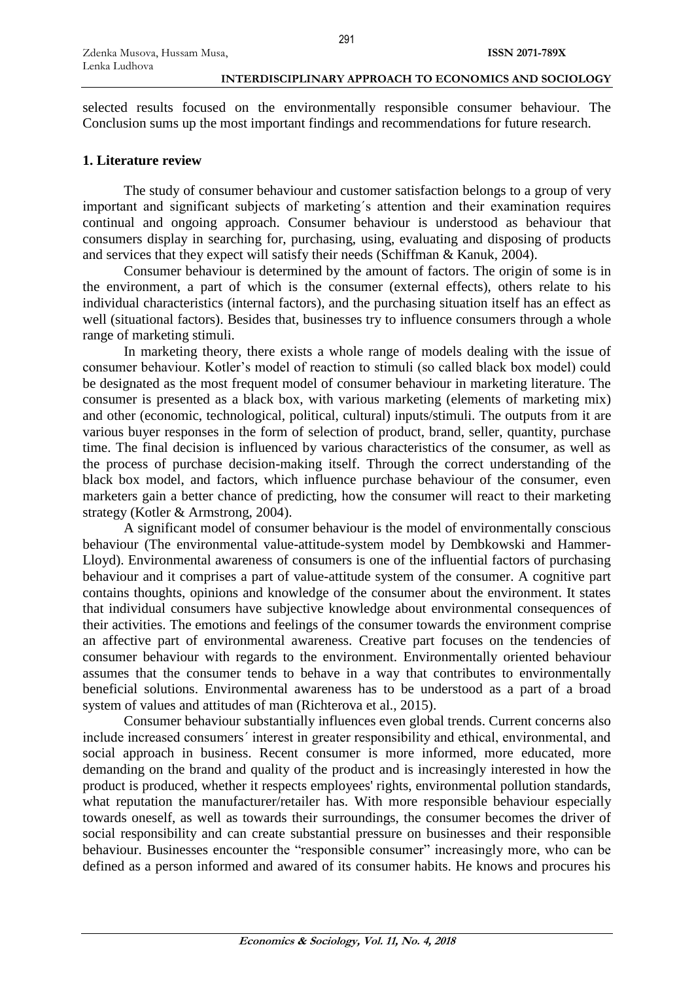selected results focused on the environmentally responsible consumer behaviour. The Conclusion sums up the most important findings and recommendations for future research.

# **1. Literature review**

The study of consumer behaviour and customer satisfaction belongs to a group of very important and significant subjects of marketing´s attention and their examination requires continual and ongoing approach. Consumer behaviour is understood as behaviour that consumers display in searching for, purchasing, using, evaluating and disposing of products and services that they expect will satisfy their needs (Schiffman & Kanuk, 2004).

Consumer behaviour is determined by the amount of factors. The origin of some is in the environment, a part of which is the consumer (external effects), others relate to his individual characteristics (internal factors), and the purchasing situation itself has an effect as well (situational factors). Besides that, businesses try to influence consumers through a whole range of marketing stimuli.

In marketing theory, there exists a whole range of models dealing with the issue of consumer behaviour. Kotler's model of reaction to stimuli (so called black box model) could be designated as the most frequent model of consumer behaviour in marketing literature. The consumer is presented as a black box, with various marketing (elements of marketing mix) and other (economic, technological, political, cultural) inputs/stimuli. The outputs from it are various buyer responses in the form of selection of product, brand, seller, quantity, purchase time. The final decision is influenced by various characteristics of the consumer, as well as the process of purchase decision-making itself. Through the correct understanding of the black box model, and factors, which influence purchase behaviour of the consumer, even marketers gain a better chance of predicting, how the consumer will react to their marketing strategy (Kotler & Armstrong, 2004).

A significant model of consumer behaviour is the model of environmentally conscious behaviour (The environmental value-attitude-system model by Dembkowski and Hammer-Lloyd). Environmental awareness of consumers is one of the influential factors of purchasing behaviour and it comprises a part of value-attitude system of the consumer. A cognitive part contains thoughts, opinions and knowledge of the consumer about the environment. It states that individual consumers have subjective knowledge about environmental consequences of their activities. The emotions and feelings of the consumer towards the environment comprise an affective part of environmental awareness. Creative part focuses on the tendencies of consumer behaviour with regards to the environment. Environmentally oriented behaviour assumes that the consumer tends to behave in a way that contributes to environmentally beneficial solutions. Environmental awareness has to be understood as a part of a broad system of values and attitudes of man (Richterova et al., 2015).

Consumer behaviour substantially influences even global trends. Current concerns also include increased consumers´ interest in greater responsibility and ethical, environmental, and social approach in business. Recent consumer is more informed, more educated, more demanding on the brand and quality of the product and is increasingly interested in how the product is produced, whether it respects employees' rights, environmental pollution standards, what reputation the manufacturer/retailer has. With more responsible behaviour especially towards oneself, as well as towards their surroundings, the consumer becomes the driver of social responsibility and can create substantial pressure on businesses and their responsible behaviour. Businesses encounter the "responsible consumer" increasingly more, who can be defined as a person informed and awared of its consumer habits. He knows and procures his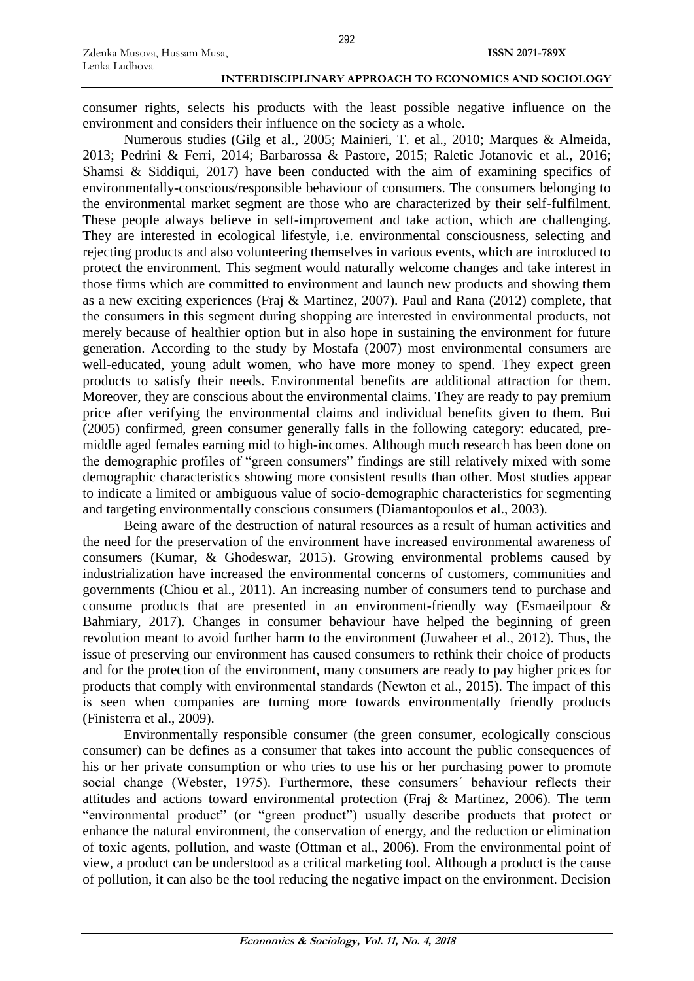consumer rights, selects his products with the least possible negative influence on the environment and considers their influence on the society as a whole.

Numerous studies (Gilg et al., 2005; Mainieri, T. et al., 2010; Marques & Almeida, 2013; Pedrini & Ferri, 2014; Barbarossa & Pastore, 2015; Raletic Jotanovic et al., 2016; Shamsi & Siddiqui, 2017) have been conducted with the aim of examining specifics of environmentally-conscious/responsible behaviour of consumers. The consumers belonging to the environmental market segment are those who are characterized by their self-fulfilment. These people always believe in self-improvement and take action, which are challenging. They are interested in ecological lifestyle, i.e. environmental consciousness, selecting and rejecting products and also volunteering themselves in various events, which are introduced to protect the environment. This segment would naturally welcome changes and take interest in those firms which are committed to environment and launch new products and showing them as a new exciting experiences (Fraj & Martinez, 2007). Paul and Rana (2012) complete, that the consumers in this segment during shopping are interested in environmental products, not merely because of healthier option but in also hope in sustaining the environment for future generation. According to the study by Mostafa (2007) most environmental consumers are well-educated, young adult women, who have more money to spend. They expect green products to satisfy their needs. Environmental benefits are additional attraction for them. Moreover, they are conscious about the environmental claims. They are ready to pay premium price after verifying the environmental claims and individual benefits given to them. Bui (2005) confirmed, green consumer generally falls in the following category: educated, premiddle aged females earning mid to high-incomes. Although much research has been done on the demographic profiles of "green consumers" findings are still relatively mixed with some demographic characteristics showing more consistent results than other. Most studies appear to indicate a limited or ambiguous value of socio-demographic characteristics for segmenting and targeting environmentally conscious consumers (Diamantopoulos et al., 2003).

Being aware of the destruction of natural resources as a result of human activities and the need for the preservation of the environment have increased environmental awareness of consumers (Kumar, & Ghodeswar, 2015). Growing environmental problems caused by industrialization have increased the environmental concerns of customers, communities and governments (Chiou et al., 2011). An increasing number of consumers tend to purchase and consume products that are presented in an environment-friendly way (Esmaeilpour & Bahmiary, 2017). Changes in consumer behaviour have helped the beginning of green revolution meant to avoid further harm to the environment (Juwaheer et al., 2012). Thus, the issue of preserving our environment has caused consumers to rethink their choice of products and for the protection of the environment, many consumers are ready to pay higher prices for products that comply with environmental standards (Newton et al., 2015). The impact of this is seen when companies are turning more towards environmentally friendly products (Finisterra et al., 2009).

Environmentally responsible consumer (the green consumer, ecologically conscious consumer) can be defines as a consumer that takes into account the public consequences of his or her private consumption or who tries to use his or her purchasing power to promote social change (Webster, 1975). Furthermore, these consumers´ behaviour reflects their attitudes and actions toward environmental protection (Fraj & Martinez, 2006). The term "environmental product" (or "green product") usually describe products that protect or enhance the natural environment, the conservation of energy, and the reduction or elimination of toxic agents, pollution, and waste (Ottman et al., 2006). From the environmental point of view, a product can be understood as a critical marketing tool. Although a product is the cause of pollution, it can also be the tool reducing the negative impact on the environment. Decision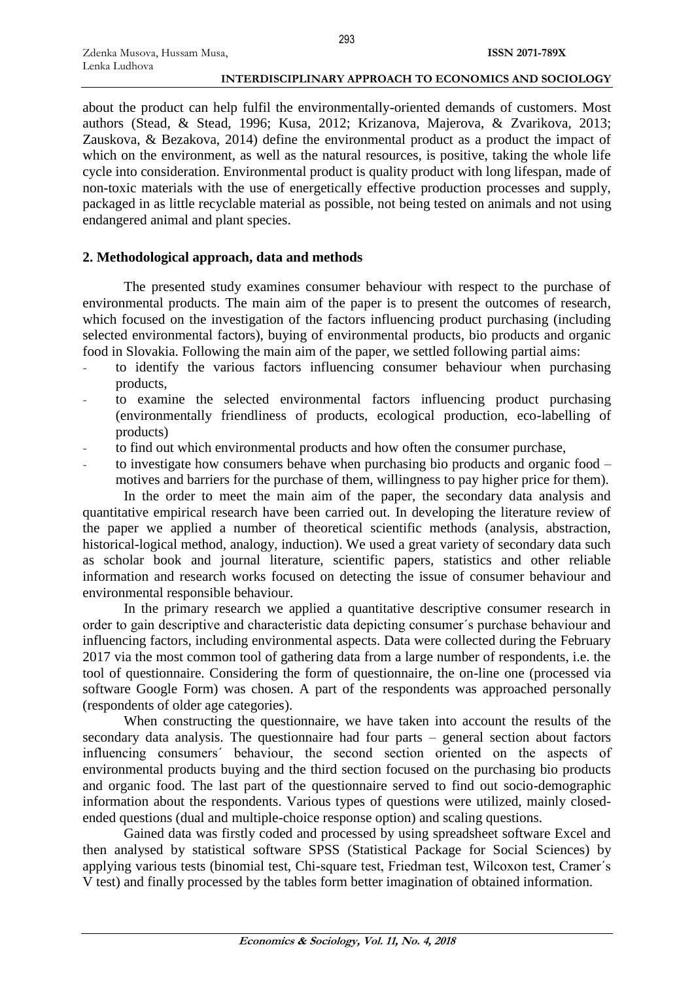about the product can help fulfil the environmentally-oriented demands of customers. Most authors (Stead, & Stead, 1996; Kusa, 2012; Krizanova, Majerova, & Zvarikova, 2013; Zauskova, & Bezakova, 2014) define the environmental product as a product the impact of which on the environment, as well as the natural resources, is positive, taking the whole life cycle into consideration. Environmental product is quality product with long lifespan, made of non-toxic materials with the use of energetically effective production processes and supply, packaged in as little recyclable material as possible, not being tested on animals and not using endangered animal and plant species.

293

# **2. Methodological approach, data and methods**

The presented study examines consumer behaviour with respect to the purchase of environmental products. The main aim of the paper is to present the outcomes of research, which focused on the investigation of the factors influencing product purchasing (including selected environmental factors), buying of environmental products, bio products and organic food in Slovakia. Following the main aim of the paper, we settled following partial aims:

- to identify the various factors influencing consumer behaviour when purchasing products,
- to examine the selected environmental factors influencing product purchasing (environmentally friendliness of products, ecological production, eco-labelling of products)
- to find out which environmental products and how often the consumer purchase,
- to investigate how consumers behave when purchasing bio products and organic food motives and barriers for the purchase of them, willingness to pay higher price for them).

In the order to meet the main aim of the paper, the secondary data analysis and quantitative empirical research have been carried out. In developing the literature review of the paper we applied a number of theoretical scientific methods (analysis, abstraction, historical-logical method, analogy, induction). We used a great variety of secondary data such as scholar book and journal literature, scientific papers, statistics and other reliable information and research works focused on detecting the issue of consumer behaviour and environmental responsible behaviour.

In the primary research we applied a quantitative descriptive consumer research in order to gain descriptive and characteristic data depicting consumer´s purchase behaviour and influencing factors, including environmental aspects. Data were collected during the February 2017 via the most common tool of gathering data from a large number of respondents, i.e. the tool of questionnaire. Considering the form of questionnaire, the on-line one (processed via software Google Form) was chosen. A part of the respondents was approached personally (respondents of older age categories).

When constructing the questionnaire, we have taken into account the results of the secondary data analysis. The questionnaire had four parts – general section about factors influencing consumers´ behaviour, the second section oriented on the aspects of environmental products buying and the third section focused on the purchasing bio products and organic food. The last part of the questionnaire served to find out socio-demographic information about the respondents. Various types of questions were utilized, mainly closedended questions (dual and multiple-choice response option) and scaling questions.

Gained data was firstly coded and processed by using spreadsheet software Excel and then analysed by statistical software SPSS (Statistical Package for Social Sciences) by applying various tests (binomial test, Chi-square test, Friedman test, Wilcoxon test, Cramer´s V test) and finally processed by the tables form better imagination of obtained information.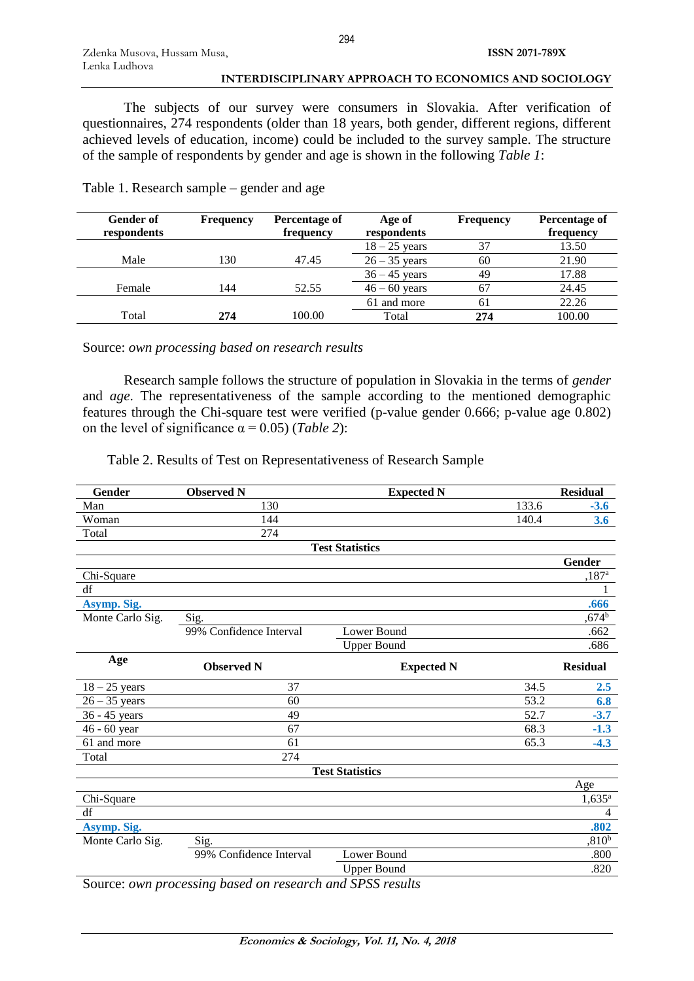The subjects of our survey were consumers in Slovakia. After verification of questionnaires, 274 respondents (older than 18 years, both gender, different regions, different achieved levels of education, income) could be included to the survey sample. The structure of the sample of respondents by gender and age is shown in the following *Table 1*:

| <b>Gender of</b><br>respondents | <b>Frequency</b> | Percentage of<br>frequency | Age of<br>respondents | <b>Frequency</b> | Percentage of<br>frequency |
|---------------------------------|------------------|----------------------------|-----------------------|------------------|----------------------------|
|                                 |                  |                            | $18 - 25$ years       | 37               | 13.50                      |
| Male                            | 130              | 47.45                      | $26 - 35$ years       | 60               | 21.90                      |
|                                 |                  |                            | $36 - 45$ years       | 49               | 17.88                      |
| Female                          | 144              | 52.55                      | $46 - 60$ years       | 67               | 24.45                      |
|                                 |                  |                            | 61 and more           | 61               | 22.26                      |
| Total                           | 274              | 100.00                     | Total                 | 274              | 100.00                     |
|                                 |                  |                            |                       |                  |                            |

Table 1. Research sample – gender and age

Source: *own processing based on research results*

Research sample follows the structure of population in Slovakia in the terms of *gender* and *age*. The representativeness of the sample according to the mentioned demographic features through the Chi-square test were verified (p-value gender 0.666; p-value age 0.802) on the level of significance  $\alpha = 0.05$ ) (*Table 2*):

Table 2. Results of Test on Representativeness of Research Sample

| Gender           | <b>Observed N</b>       | <b>Expected N</b>      |       | <b>Residual</b>      |
|------------------|-------------------------|------------------------|-------|----------------------|
| Man              | 130                     |                        | 133.6 | $-3.6$               |
| Woman            | 144                     |                        | 140.4 | 3.6                  |
| Total            | 274                     |                        |       |                      |
|                  |                         | <b>Test Statistics</b> |       |                      |
|                  |                         |                        |       | <b>Gender</b>        |
| Chi-Square       |                         |                        |       | $,187$ <sup>a</sup>  |
| df               |                         |                        |       |                      |
| Asymp. Sig.      |                         |                        |       | .666                 |
| Monte Carlo Sig. | Sig.                    |                        |       | ,674 <sup>b</sup>    |
|                  | 99% Confidence Interval | Lower Bound            |       | .662                 |
|                  |                         | <b>Upper Bound</b>     |       | .686                 |
| Age              | <b>Observed N</b>       | <b>Expected N</b>      |       | <b>Residual</b>      |
| $18 - 25$ years  | 37                      |                        | 34.5  | 2.5                  |
| $26 - 35$ years  | 60                      |                        | 53.2  | 6.8                  |
| 36 - 45 years    | 49                      |                        | 52.7  | $-3.7$               |
| 46 - 60 year     | 67                      |                        | 68.3  | $-1.3$               |
| 61 and more      | 61                      |                        | 65.3  | $-4.3$               |
| Total            | 274                     |                        |       |                      |
|                  |                         | <b>Test Statistics</b> |       |                      |
|                  |                         |                        |       | Age                  |
| Chi-Square       |                         |                        |       | $1,635$ <sup>a</sup> |
| df               |                         |                        |       | 4                    |
| Asymp. Sig.      |                         |                        |       | .802                 |
| Monte Carlo Sig. | Sig.                    |                        |       | ,810 <sup>b</sup>    |
|                  | 99% Confidence Interval | Lower Bound            |       | .800                 |
|                  |                         | <b>Upper Bound</b>     |       | .820                 |

Source: *own processing based on research and SPSS results*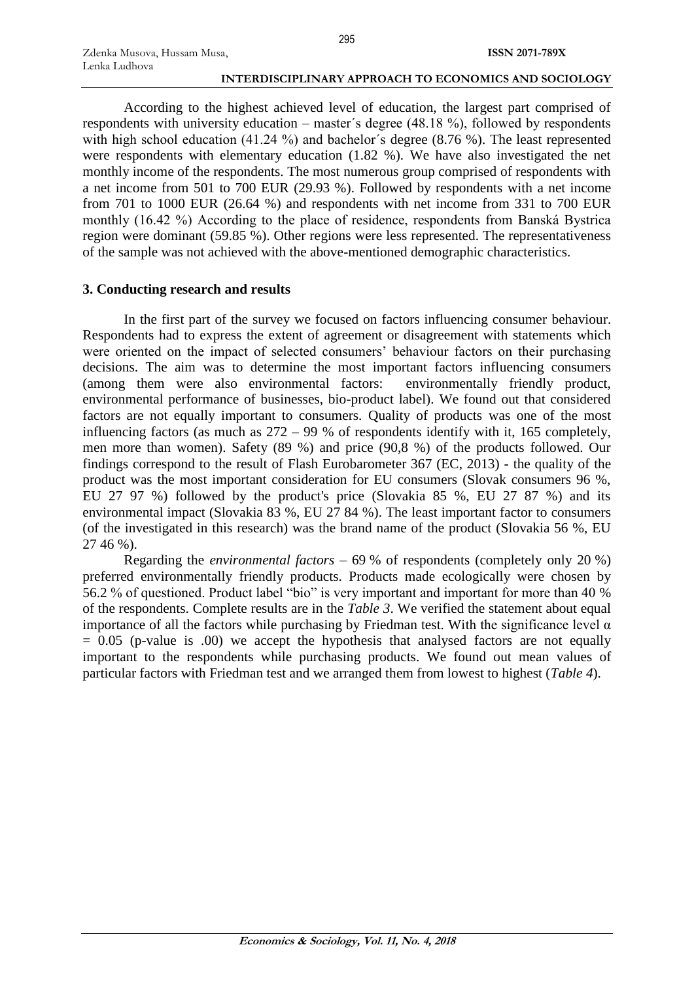According to the highest achieved level of education, the largest part comprised of respondents with university education – master´s degree (48.18 %), followed by respondents with high school education (41.24 %) and bachelor's degree (8.76 %). The least represented were respondents with elementary education (1.82 %). We have also investigated the net monthly income of the respondents. The most numerous group comprised of respondents with a net income from 501 to 700 EUR (29.93 %). Followed by respondents with a net income from 701 to 1000 EUR (26.64 %) and respondents with net income from 331 to 700 EUR monthly (16.42 %) According to the place of residence, respondents from Banská Bystrica region were dominant (59.85 %). Other regions were less represented. The representativeness of the sample was not achieved with the above-mentioned demographic characteristics.

# **3. Conducting research and results**

Zdenka Musova, Hussam Musa,

Lenka Ludhova

In the first part of the survey we focused on factors influencing consumer behaviour. Respondents had to express the extent of agreement or disagreement with statements which were oriented on the impact of selected consumers' behaviour factors on their purchasing decisions. The aim was to determine the most important factors influencing consumers (among them were also environmental factors: environmentally friendly product, environmental performance of businesses, bio-product label). We found out that considered factors are not equally important to consumers. Quality of products was one of the most influencing factors (as much as 272 – 99 % of respondents identify with it, 165 completely, men more than women). Safety (89 %) and price (90,8 %) of the products followed. Our findings correspond to the result of Flash Eurobarometer 367 (EC, 2013) - the quality of the product was the most important consideration for EU consumers (Slovak consumers 96 %, EU 27 97 %) followed by the product's price (Slovakia 85 %, EU 27 87 %) and its environmental impact (Slovakia 83 %, EU 27 84 %). The least important factor to consumers (of the investigated in this research) was the brand name of the product (Slovakia 56 %, EU 27 46 %).

Regarding the *environmental factors* – 69 % of respondents (completely only 20 %) preferred environmentally friendly products. Products made ecologically were chosen by 56.2 % of questioned. Product label "bio" is very important and important for more than 40 % of the respondents. Complete results are in the *Table 3*. We verified the statement about equal importance of all the factors while purchasing by Friedman test. With the significance level  $\alpha$  $= 0.05$  (p-value is .00) we accept the hypothesis that analysed factors are not equally important to the respondents while purchasing products. We found out mean values of particular factors with Friedman test and we arranged them from lowest to highest (*Table 4*).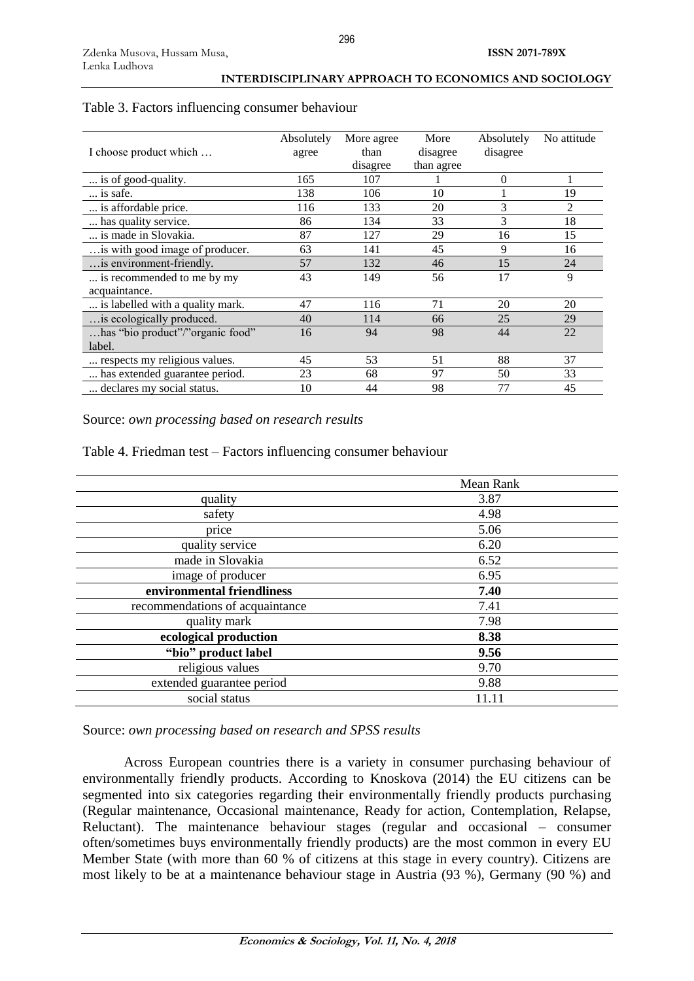|                                  | Absolutely | More agree | More       | Absolutely | No attitude |
|----------------------------------|------------|------------|------------|------------|-------------|
| I choose product which           | agree      | than       | disagree   | disagree   |             |
|                                  |            | disagree   | than agree |            |             |
| is of good-quality.              | 165        | 107        |            | $\theta$   |             |
| is safe.                         | 138        | 106        | 10         |            | 19          |
| is affordable price.             | 116        | 133        | 20         | 3          | 2           |
| has quality service.             | 86         | 134        | 33         | 3          | 18          |
| is made in Slovakia.             | 87         | 127        | 29         | 16         | 15          |
| is with good image of producer.  | 63         | 141        | 45         | 9          | 16          |
| is environment-friendly.         | 57         | 132        | 46         | 15         | 24          |
| is recommended to me by my       | 43         | 149        | 56         | 17         | 9           |
| acquaintance.                    |            |            |            |            |             |
| is labelled with a quality mark. | 47         | 116        | 71         | 20         | 20          |
| is ecologically produced.        | 40         | 114        | 66         | 25         | 29          |
| has "bio product"/"organic food" | 16         | 94         | 98         | 44         | 22          |
| label.                           |            |            |            |            |             |
| respects my religious values.    | 45         | 53         | 51         | 88         | 37          |
| has extended guarantee period.   | 23         | 68         | 97         | 50         | 33          |
| declares my social status.       | 10         | 44         | 98         | 77         | 45          |

# Table 3. Factors influencing consumer behaviour

Source: *own processing based on research results*

Table 4. Friedman test – Factors influencing consumer behaviour

|                                 | Mean Rank |
|---------------------------------|-----------|
| quality                         | 3.87      |
| safety                          | 4.98      |
| price                           | 5.06      |
| quality service                 | 6.20      |
| made in Slovakia                | 6.52      |
| image of producer               | 6.95      |
| environmental friendliness      | 7.40      |
| recommendations of acquaintance | 7.41      |
| quality mark                    | 7.98      |
| ecological production           | 8.38      |
| "bio" product label             | 9.56      |
| religious values                | 9.70      |
| extended guarantee period       | 9.88      |
| social status                   | 11.11     |

Source: *own processing based on research and SPSS results*

Across European countries there is a variety in consumer purchasing behaviour of environmentally friendly products. According to Knoskova (2014) the EU citizens can be segmented into six categories regarding their environmentally friendly products purchasing (Regular maintenance, Occasional maintenance, Ready for action, Contemplation, Relapse, Reluctant). The maintenance behaviour stages (regular and occasional – consumer often/sometimes buys environmentally friendly products) are the most common in every EU Member State (with more than 60 % of citizens at this stage in every country). Citizens are most likely to be at a maintenance behaviour stage in Austria (93 %), Germany (90 %) and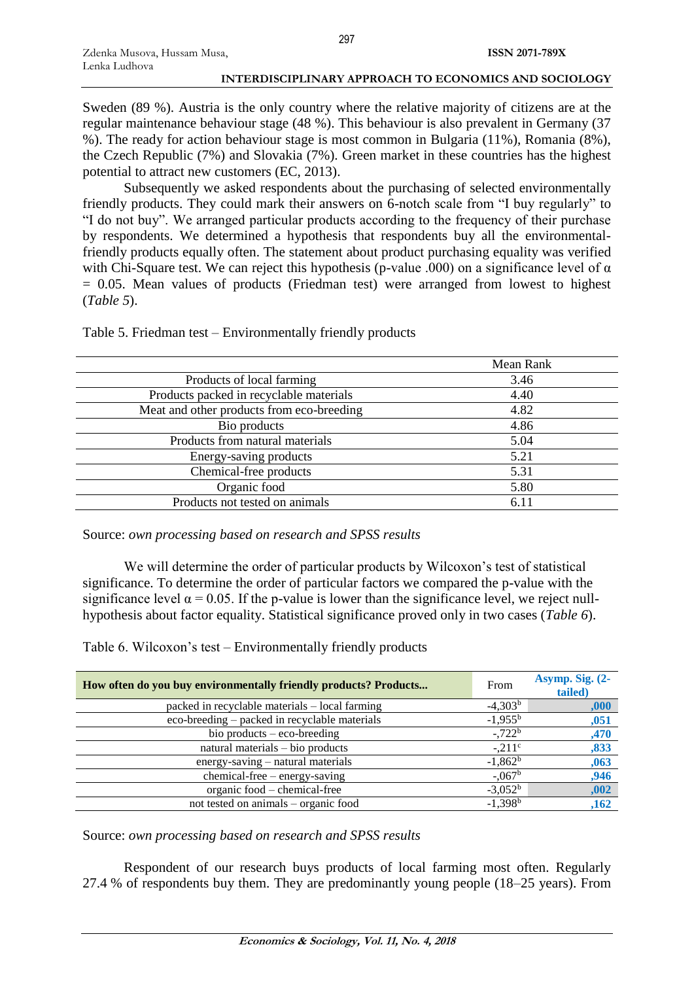Sweden (89 %). Austria is the only country where the relative majority of citizens are at the regular maintenance behaviour stage (48 %). This behaviour is also prevalent in Germany (37 %). The ready for action behaviour stage is most common in Bulgaria (11%), Romania (8%), the Czech Republic (7%) and Slovakia (7%). Green market in these countries has the highest potential to attract new customers (EC, 2013).

Subsequently we asked respondents about the purchasing of selected environmentally friendly products. They could mark their answers on 6-notch scale from "I buy regularly" to "I do not buy". We arranged particular products according to the frequency of their purchase by respondents. We determined a hypothesis that respondents buy all the environmentalfriendly products equally often. The statement about product purchasing equality was verified with Chi-Square test. We can reject this hypothesis (p-value .000) on a significance level of  $\alpha$  $= 0.05$ . Mean values of products (Friedman test) were arranged from lowest to highest (*Table 5*).

Table 5. Friedman test – Environmentally friendly products

|                                           | Mean Rank |
|-------------------------------------------|-----------|
| Products of local farming                 | 3.46      |
| Products packed in recyclable materials   | 4.40      |
| Meat and other products from eco-breeding | 4.82      |
| Bio products                              | 4.86      |
| Products from natural materials           | 5.04      |
| Energy-saving products                    | 5.21      |
| Chemical-free products                    | 5.31      |
| Organic food                              | 5.80      |
| Products not tested on animals            | 6.11      |

Source: *own processing based on research and SPSS results*

We will determine the order of particular products by Wilcoxon's test of statistical significance. To determine the order of particular factors we compared the p-value with the significance level  $\alpha$  = 0.05. If the p-value is lower than the significance level, we reject nullhypothesis about factor equality. Statistical significance proved only in two cases (*Table 6*).

Table 6. Wilcoxon's test – Environmentally friendly products

| How often do you buy environmentally friendly products? Products | From             | Asymp. Sig. (2-<br>tailed) |
|------------------------------------------------------------------|------------------|----------------------------|
| packed in recyclable materials - local farming                   | $-4,303b$        | ,000                       |
| eco-breeding – packed in recyclable materials                    | $-1,955^{\rm b}$ | ,051                       |
| bio products $-$ eco-breeding                                    | $-722^b$         | ,470                       |
| natural materials – bio products                                 | $-.211c$         | ,833                       |
| energy-saving – natural materials                                | $-1,862b$        | ,063                       |
| chemical-free - energy-saving                                    | $-0.067^{\rm b}$ | ,946                       |
| organic food – chemical-free                                     | $-3,052^b$       | ,002                       |
| not tested on animals – organic food                             | $-1,398^{b}$     | ,162                       |
|                                                                  |                  |                            |

Source: *own processing based on research and SPSS results*

Respondent of our research buys products of local farming most often. Regularly 27.4 % of respondents buy them. They are predominantly young people (18–25 years). From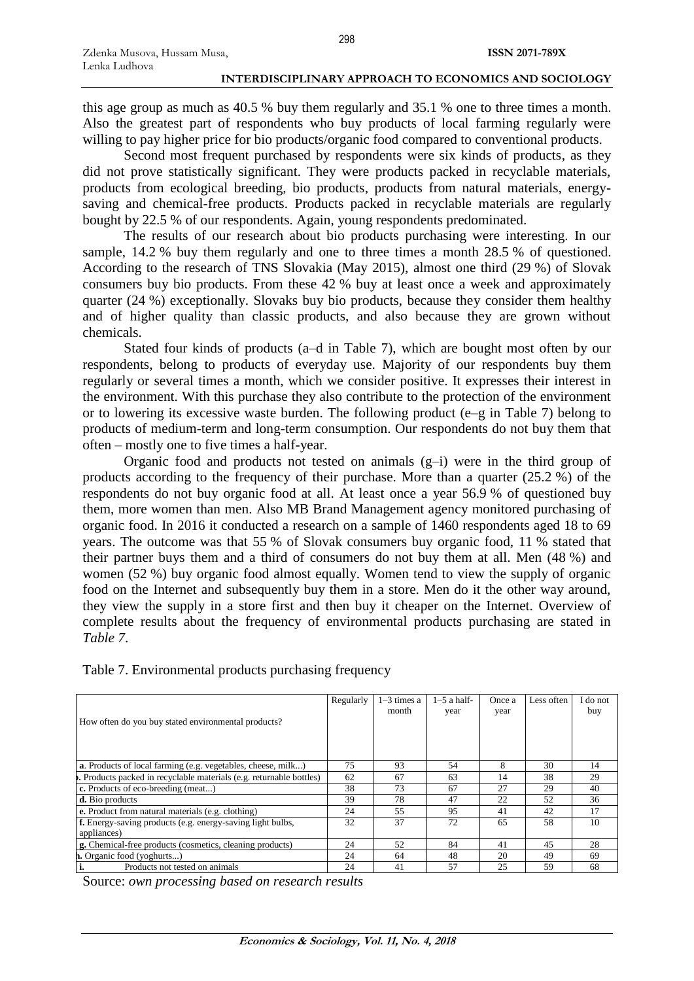this age group as much as 40.5 % buy them regularly and 35.1 % one to three times a month. Also the greatest part of respondents who buy products of local farming regularly were willing to pay higher price for bio products/organic food compared to conventional products.

Second most frequent purchased by respondents were six kinds of products, as they did not prove statistically significant. They were products packed in recyclable materials, products from ecological breeding, bio products, products from natural materials, energysaving and chemical-free products. Products packed in recyclable materials are regularly bought by 22.5 % of our respondents. Again, young respondents predominated.

The results of our research about bio products purchasing were interesting. In our sample, 14.2 % buy them regularly and one to three times a month 28.5 % of questioned. According to the research of TNS Slovakia (May 2015), almost one third (29 %) of Slovak consumers buy bio products. From these 42 % buy at least once a week and approximately quarter (24 %) exceptionally. Slovaks buy bio products, because they consider them healthy and of higher quality than classic products, and also because they are grown without chemicals.

Stated four kinds of products (a–d in Table 7), which are bought most often by our respondents, belong to products of everyday use. Majority of our respondents buy them regularly or several times a month, which we consider positive. It expresses their interest in the environment. With this purchase they also contribute to the protection of the environment or to lowering its excessive waste burden. The following product (e–g in Table 7) belong to products of medium-term and long-term consumption. Our respondents do not buy them that often – mostly one to five times a half-year.

Organic food and products not tested on animals (g–i) were in the third group of products according to the frequency of their purchase. More than a quarter (25.2 %) of the respondents do not buy organic food at all. At least once a year 56.9 % of questioned buy them, more women than men. Also MB Brand Management agency monitored purchasing of organic food. In 2016 it conducted a research on a sample of 1460 respondents aged 18 to 69 years. The outcome was that 55 % of Slovak consumers buy organic food, 11 % stated that their partner buys them and a third of consumers do not buy them at all. Men (48 %) and women (52 %) buy organic food almost equally. Women tend to view the supply of organic food on the Internet and subsequently buy them in a store. Men do it the other way around, they view the supply in a store first and then buy it cheaper on the Internet. Overview of complete results about the frequency of environmental products purchasing are stated in *Table 7*.

| How often do you buy stated environmental products?                       | Regularly | $1-3$ times a<br>month | $1-5$ a half-<br>year | Once a<br>year | Less often | I do not<br>buy |
|---------------------------------------------------------------------------|-----------|------------------------|-----------------------|----------------|------------|-----------------|
| <b>a</b> . Products of local farming (e.g. vegetables, cheese, milk)      | 75        | 93                     | 54                    | 8              | 30         | 14              |
| Products packed in recyclable materials (e.g. returnable bottles)         | 62        | 67                     | 63                    | 14             | 38         | 29              |
| c. Products of eco-breeding (meat)                                        | 38        | 73                     | 67                    | 27             | 29         | 40              |
| d. Bio products                                                           | 39        | 78                     | 47                    | 22             | 52         | 36              |
| <b>e.</b> Product from natural materials (e.g. clothing)                  | 24        | 55                     | 95                    | 41             | 42         | 17              |
| f. Energy-saving products (e.g. energy-saving light bulbs,<br>appliances) | 32        | 37                     | 72                    | 65             | 58         | 10              |
| <b>g.</b> Chemical-free products (cosmetics, cleaning products)           | 24        | 52                     | 84                    | 41             | 45         | 28              |
| <b>1.</b> Organic food (yoghurts)                                         | 24        | 64                     | 48                    | 20             | 49         | 69              |
| Products not tested on animals                                            | 24        | 41                     | 57                    | 25             | 59         | 68              |

Table 7. Environmental products purchasing frequency

Source: *own processing based on research results*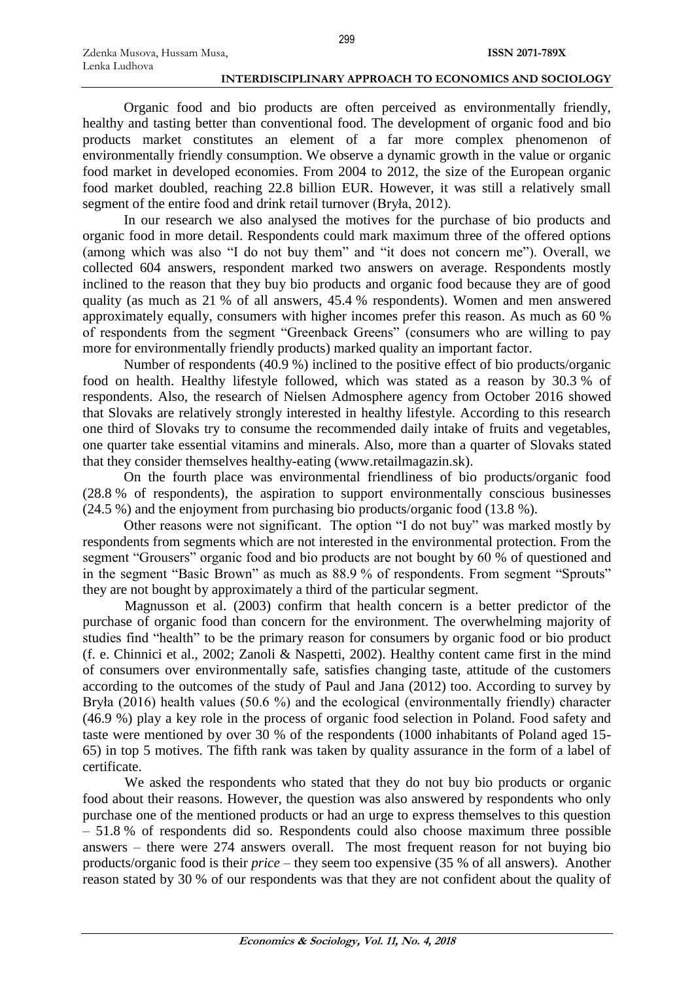Organic food and bio products are often perceived as environmentally friendly, healthy and tasting better than conventional food. The development of organic food and bio products market constitutes an element of a far more complex phenomenon of environmentally friendly consumption. We observe a dynamic growth in the value or organic food market in developed economies. From 2004 to 2012, the size of the European organic food market doubled, reaching 22.8 billion EUR. However, it was still a relatively small segment of the entire food and drink retail turnover (Bryła, 2012).

In our research we also analysed the motives for the purchase of bio products and organic food in more detail. Respondents could mark maximum three of the offered options (among which was also "I do not buy them" and "it does not concern me"). Overall, we collected 604 answers, respondent marked two answers on average. Respondents mostly inclined to the reason that they buy bio products and organic food because they are of good quality (as much as 21 % of all answers, 45.4 % respondents). Women and men answered approximately equally, consumers with higher incomes prefer this reason. As much as 60 % of respondents from the segment "Greenback Greens" (consumers who are willing to pay more for environmentally friendly products) marked quality an important factor.

Number of respondents (40.9 %) inclined to the positive effect of bio products/organic food on health. Healthy lifestyle followed, which was stated as a reason by 30.3 % of respondents. Also, the research of Nielsen Admosphere agency from October 2016 showed that Slovaks are relatively strongly interested in healthy lifestyle. According to this research one third of Slovaks try to consume the recommended daily intake of fruits and vegetables, one quarter take essential vitamins and minerals. Also, more than a quarter of Slovaks stated that they consider themselves healthy-eating [\(www.retailmagazin.sk\)](http://www.retailmagazin.sk/).

On the fourth place was environmental friendliness of bio products/organic food (28.8 % of respondents), the aspiration to support environmentally conscious businesses (24.5 %) and the enjoyment from purchasing bio products/organic food (13.8 %).

Other reasons were not significant. The option "I do not buy" was marked mostly by respondents from segments which are not interested in the environmental protection. From the segment "Grousers" organic food and bio products are not bought by 60 % of questioned and in the segment "Basic Brown" as much as 88.9 % of respondents. From segment "Sprouts" they are not bought by approximately a third of the particular segment.

Magnusson et al. (2003) confirm that health concern is a better predictor of the purchase of organic food than concern for the environment. The overwhelming majority of studies find "health" to be the primary reason for consumers by organic food or bio product (f. e. Chinnici et al., 2002; Zanoli & Naspetti, 2002). Healthy content came first in the mind of consumers over environmentally safe, satisfies changing taste, attitude of the customers according to the outcomes of the study of Paul and Jana (2012) too. According to survey by Bryła (2016) health values (50.6 %) and the ecological (environmentally friendly) character (46.9 %) play a key role in the process of organic food selection in Poland. Food safety and taste were mentioned by over 30 % of the respondents (1000 inhabitants of Poland aged 15- 65) in top 5 motives. The fifth rank was taken by quality assurance in the form of a label of certificate.

We asked the respondents who stated that they do not buy bio products or organic food about their reasons. However, the question was also answered by respondents who only purchase one of the mentioned products or had an urge to express themselves to this question – 51.8 % of respondents did so. Respondents could also choose maximum three possible answers – there were 274 answers overall. The most frequent reason for not buying bio products/organic food is their *price* – they seem too expensive (35 % of all answers). Another reason stated by 30 % of our respondents was that they are not confident about the quality of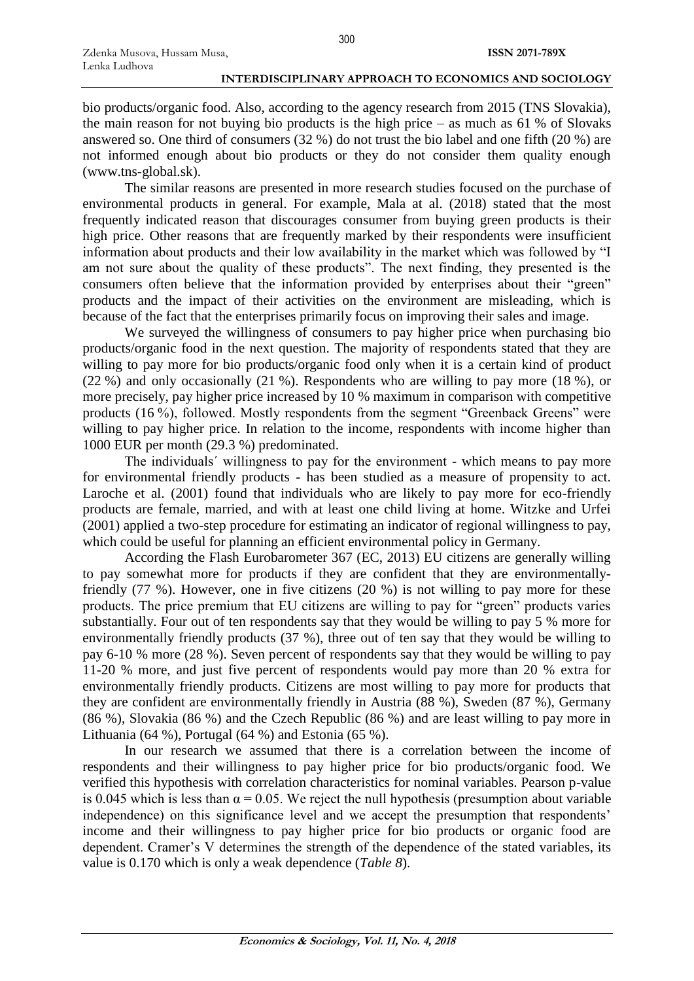bio products/organic food. Also, according to the agency research from 2015 (TNS Slovakia), the main reason for not buying bio products is the high price – as much as 61 % of Slovaks answered so. One third of consumers (32 %) do not trust the bio label and one fifth (20 %) are not informed enough about bio products or they do not consider them quality enough (www.tns-global.sk).

The similar reasons are presented in more research studies focused on the purchase of environmental products in general. For example, Mala at al. (2018) stated that the most frequently indicated reason that discourages consumer from buying green products is their high price. Other reasons that are frequently marked by their respondents were insufficient information about products and their low availability in the market which was followed by "I am not sure about the quality of these products". The next finding, they presented is the consumers often believe that the information provided by enterprises about their "green" products and the impact of their activities on the environment are misleading, which is because of the fact that the enterprises primarily focus on improving their sales and image.

We surveyed the willingness of consumers to pay higher price when purchasing bio products/organic food in the next question. The majority of respondents stated that they are willing to pay more for bio products/organic food only when it is a certain kind of product (22 %) and only occasionally (21 %). Respondents who are willing to pay more (18 %), or more precisely, pay higher price increased by 10 % maximum in comparison with competitive products (16 %), followed. Mostly respondents from the segment "Greenback Greens" were willing to pay higher price. In relation to the income, respondents with income higher than 1000 EUR per month (29.3 %) predominated.

The individuals´ willingness to pay for the environment - which means to pay more for environmental friendly products - has been studied as a measure of propensity to act. Laroche et al. (2001) found that individuals who are likely to pay more for eco-friendly products are female, married, and with at least one child living at home. Witzke and Urfei (2001) applied a two-step procedure for estimating an indicator of regional willingness to pay, which could be useful for planning an efficient environmental policy in Germany.

According the Flash Eurobarometer 367 (EC, 2013) EU citizens are generally willing to pay somewhat more for products if they are confident that they are environmentallyfriendly (77 %). However, one in five citizens (20 %) is not willing to pay more for these products. The price premium that EU citizens are willing to pay for "green" products varies substantially. Four out of ten respondents say that they would be willing to pay 5 % more for environmentally friendly products (37 %), three out of ten say that they would be willing to pay 6-10 % more (28 %). Seven percent of respondents say that they would be willing to pay 11-20 % more, and just five percent of respondents would pay more than 20 % extra for environmentally friendly products. Citizens are most willing to pay more for products that they are confident are environmentally friendly in Austria (88 %), Sweden (87 %), Germany (86 %), Slovakia (86 %) and the Czech Republic (86 %) and are least willing to pay more in Lithuania (64 %), Portugal (64 %) and Estonia (65 %).

In our research we assumed that there is a correlation between the income of respondents and their willingness to pay higher price for bio products/organic food. We verified this hypothesis with correlation characteristics for nominal variables. Pearson p-value is 0.045 which is less than  $\alpha$  = 0.05. We reject the null hypothesis (presumption about variable independence) on this significance level and we accept the presumption that respondents' income and their willingness to pay higher price for bio products or organic food are dependent. Cramer's V determines the strength of the dependence of the stated variables, its value is 0.170 which is only a weak dependence (*Table 8*).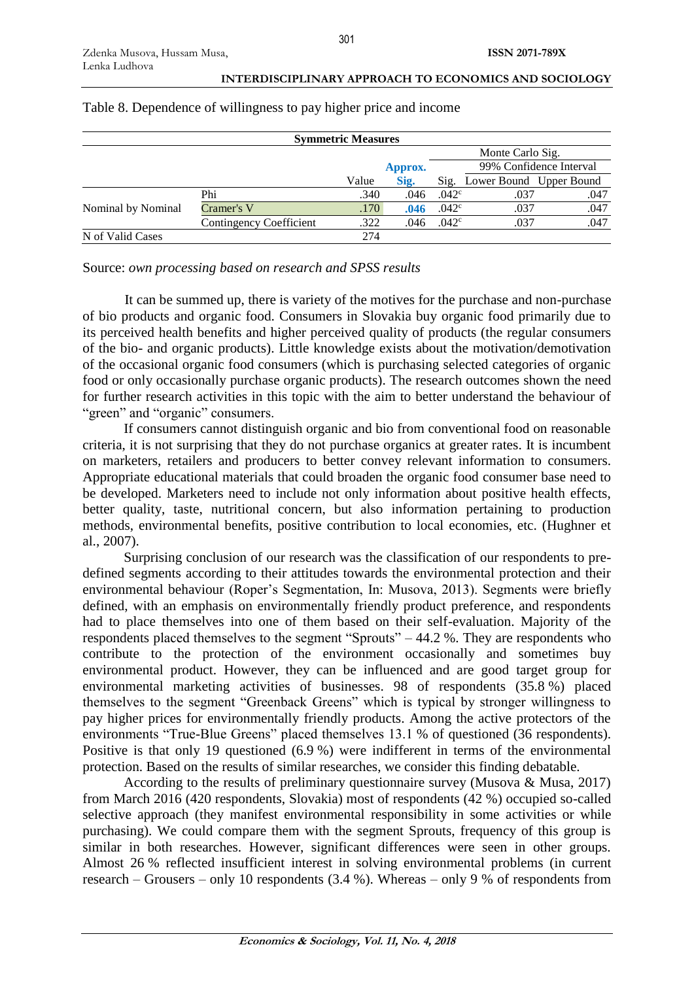| <b>INTERDISCIPLINARY APPROACH TO ECONOMICS AND SOCIOLOGY</b> |
|--------------------------------------------------------------|
|--------------------------------------------------------------|

| <b>Symmetric Measures</b> |                         |       |         |                   |                              |                         |  |  |
|---------------------------|-------------------------|-------|---------|-------------------|------------------------------|-------------------------|--|--|
|                           |                         |       |         |                   | Monte Carlo Sig.             |                         |  |  |
|                           |                         |       | Approx. |                   |                              | 99% Confidence Interval |  |  |
|                           |                         | Value | Sig.    |                   | Sig. Lower Bound Upper Bound |                         |  |  |
|                           | Phi                     | .340  | .046    | .042 <sup>c</sup> | .037                         | .047                    |  |  |
| Nominal by Nominal        | Cramer's V              | .170  | .046    | .042 <sup>c</sup> | .037                         | .047                    |  |  |
|                           | Contingency Coefficient | .322  | .046    | .042 <sup>c</sup> | .037                         | .047                    |  |  |
| N of Valid Cases          |                         | 274   |         |                   |                              |                         |  |  |

# Table 8. Dependence of willingness to pay higher price and income

Source: *own processing based on research and SPSS results*

It can be summed up, there is variety of the motives for the purchase and non-purchase of bio products and organic food. Consumers in Slovakia buy organic food primarily due to its perceived health benefits and higher perceived quality of products (the regular consumers of the bio- and organic products). Little knowledge exists about the motivation/demotivation of the occasional organic food consumers (which is purchasing selected categories of organic food or only occasionally purchase organic products). The research outcomes shown the need for further research activities in this topic with the aim to better understand the behaviour of "green" and "organic" consumers.

If consumers cannot distinguish organic and bio from conventional food on reasonable criteria, it is not surprising that they do not purchase organics at greater rates. It is incumbent on marketers, retailers and producers to better convey relevant information to consumers. Appropriate educational materials that could broaden the organic food consumer base need to be developed. Marketers need to include not only information about positive health effects, better quality, taste, nutritional concern, but also information pertaining to production methods, environmental benefits, positive contribution to local economies, etc. (Hughner et al., 2007).

Surprising conclusion of our research was the classification of our respondents to predefined segments according to their attitudes towards the environmental protection and their environmental behaviour (Roper's Segmentation, In: Musova, 2013). Segments were briefly defined, with an emphasis on environmentally friendly product preference, and respondents had to place themselves into one of them based on their self-evaluation. Majority of the respondents placed themselves to the segment "Sprouts" – 44.2 %. They are respondents who contribute to the protection of the environment occasionally and sometimes buy environmental product. However, they can be influenced and are good target group for environmental marketing activities of businesses. 98 of respondents (35.8 %) placed themselves to the segment "Greenback Greens" which is typical by stronger willingness to pay higher prices for environmentally friendly products. Among the active protectors of the environments "True-Blue Greens" placed themselves 13.1 % of questioned (36 respondents). Positive is that only 19 questioned (6.9 %) were indifferent in terms of the environmental protection. Based on the results of similar researches, we consider this finding debatable.

According to the results of preliminary questionnaire survey (Musova & Musa, 2017) from March 2016 (420 respondents, Slovakia) most of respondents (42 %) occupied so-called selective approach (they manifest environmental responsibility in some activities or while purchasing). We could compare them with the segment Sprouts, frequency of this group is similar in both researches. However, significant differences were seen in other groups. Almost 26 % reflected insufficient interest in solving environmental problems (in current research – Grousers – only 10 respondents (3.4 %). Whereas – only 9 % of respondents from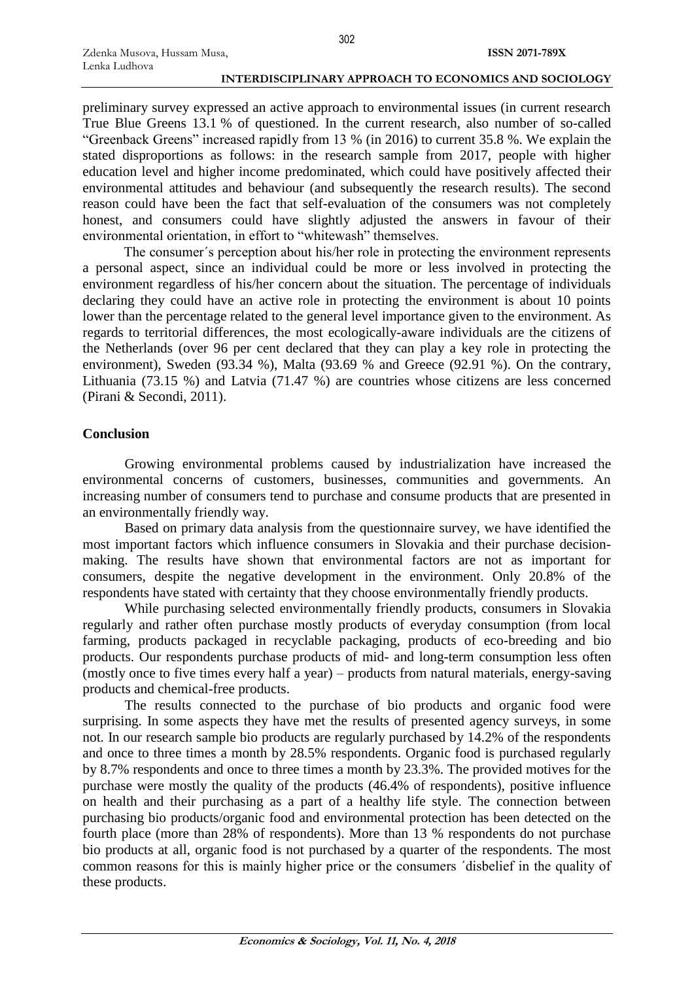preliminary survey expressed an active approach to environmental issues (in current research True Blue Greens 13.1 % of questioned. In the current research, also number of so-called "Greenback Greens" increased rapidly from 13 % (in 2016) to current 35.8 %. We explain the stated disproportions as follows: in the research sample from 2017, people with higher education level and higher income predominated, which could have positively affected their environmental attitudes and behaviour (and subsequently the research results). The second reason could have been the fact that self-evaluation of the consumers was not completely honest, and consumers could have slightly adjusted the answers in favour of their environmental orientation, in effort to "whitewash" themselves.

The consumer´s perception about his/her role in protecting the environment represents a personal aspect, since an individual could be more or less involved in protecting the environment regardless of his/her concern about the situation. The percentage of individuals declaring they could have an active role in protecting the environment is about 10 points lower than the percentage related to the general level importance given to the environment. As regards to territorial differences, the most ecologically-aware individuals are the citizens of the Netherlands (over 96 per cent declared that they can play a key role in protecting the environment), Sweden (93.34 %), Malta (93.69 % and Greece (92.91 %). On the contrary, Lithuania (73.15 %) and Latvia (71.47 %) are countries whose citizens are less concerned (Pirani & Secondi, 2011).

# **Conclusion**

Growing environmental problems caused by industrialization have increased the environmental concerns of customers, businesses, communities and governments. An increasing number of consumers tend to purchase and consume products that are presented in an environmentally friendly way.

Based on primary data analysis from the questionnaire survey, we have identified the most important factors which influence consumers in Slovakia and their purchase decisionmaking. The results have shown that environmental factors are not as important for consumers, despite the negative development in the environment. Only 20.8% of the respondents have stated with certainty that they choose environmentally friendly products.

While purchasing selected environmentally friendly products, consumers in Slovakia regularly and rather often purchase mostly products of everyday consumption (from local farming, products packaged in recyclable packaging, products of eco-breeding and bio products. Our respondents purchase products of mid- and long-term consumption less often (mostly once to five times every half a year) – products from natural materials, energy-saving products and chemical-free products.

The results connected to the purchase of bio products and organic food were surprising. In some aspects they have met the results of presented agency surveys, in some not. In our research sample bio products are regularly purchased by 14.2% of the respondents and once to three times a month by 28.5% respondents. Organic food is purchased regularly by 8.7% respondents and once to three times a month by 23.3%. The provided motives for the purchase were mostly the quality of the products (46.4% of respondents), positive influence on health and their purchasing as a part of a healthy life style. The connection between purchasing bio products/organic food and environmental protection has been detected on the fourth place (more than 28% of respondents). More than 13 % respondents do not purchase bio products at all, organic food is not purchased by a quarter of the respondents. The most common reasons for this is mainly higher price or the consumers ´disbelief in the quality of these products.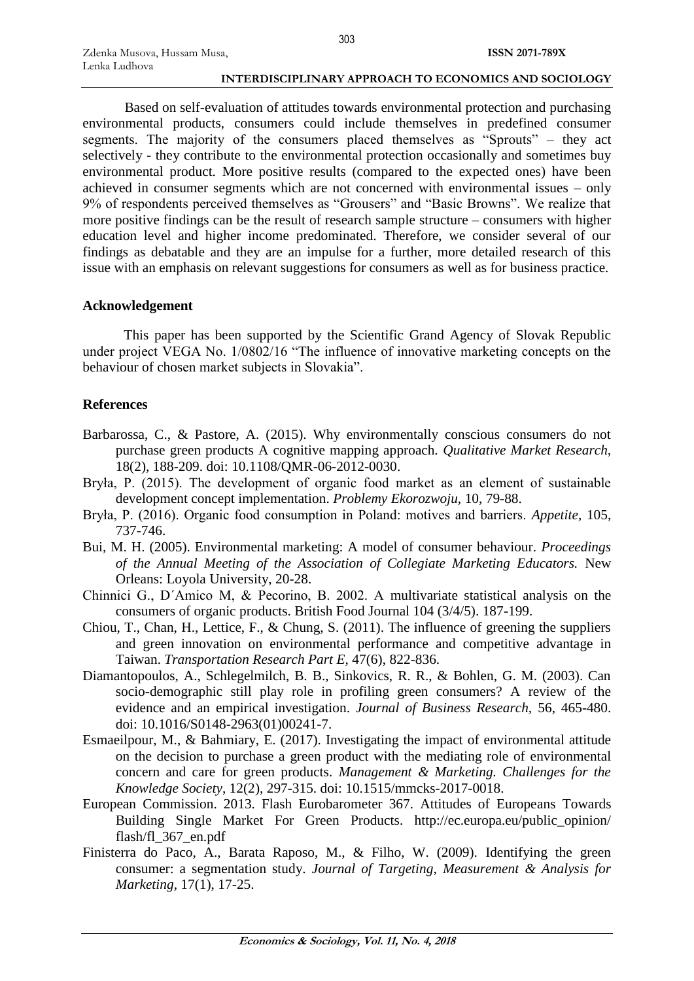Based on self-evaluation of attitudes towards environmental protection and purchasing environmental products, consumers could include themselves in predefined consumer segments. The majority of the consumers placed themselves as "Sprouts" – they act selectively - they contribute to the environmental protection occasionally and sometimes buy environmental product. More positive results (compared to the expected ones) have been achieved in consumer segments which are not concerned with environmental issues – only 9% of respondents perceived themselves as "Grousers" and "Basic Browns". We realize that more positive findings can be the result of research sample structure – consumers with higher education level and higher income predominated. Therefore, we consider several of our findings as debatable and they are an impulse for a further, more detailed research of this issue with an emphasis on relevant suggestions for consumers as well as for business practice.

# **Acknowledgement**

This paper has been supported by the Scientific Grand Agency of Slovak Republic under project VEGA No. 1/0802/16 "The influence of innovative marketing concepts on the behaviour of chosen market subjects in Slovakia".

# **References**

- Barbarossa, C., & Pastore, A. (2015). Why environmentally conscious consumers do not purchase green products A cognitive mapping approach. *Qualitative Market Research,* 18(2), 188-209. doi: 10.1108/QMR-06-2012-0030.
- Bryła, P. (2015). The development of organic food market as an element of sustainable development concept implementation. *Problemy Ekorozwoju,* 10, 79-88.
- Bryła, P. (2016). Organic food consumption in Poland: motives and barriers. *Appetite,* 105, 737-746.
- Bui, M. H. (2005). Environmental marketing: A model of consumer behaviour. *Proceedings of the Annual Meeting of the Association of Collegiate Marketing Educators.* New Orleans: Loyola University, 20-28.
- Chinnici G., D´Amico M, & Pecorino, B. 2002. A multivariate statistical analysis on the consumers of organic products. British Food Journal 104 (3/4/5). 187-199.
- Chiou, T., Chan, H., Lettice, F., & Chung, S. (2011). The influence of greening the suppliers and green innovation on environmental performance and competitive advantage in Taiwan. *Transportation Research Part E,* 47(6), 822-836.
- Diamantopoulos, A., Schlegelmilch, B. B., Sinkovics, R. R., & Bohlen, G. M. (2003). Can socio-demographic still play role in profiling green consumers? A review of the evidence and an empirical investigation. *Journal of Business Research,* 56, 465-480. doi: 10.1016/S0148-2963(01)00241-7.
- Esmaeilpour, M., & Bahmiary, E. (2017). Investigating the impact of environmental attitude on the decision to purchase a green product with the mediating role of environmental concern and care for green products. *Management & Marketing. Challenges for the Knowledge Society*, 12(2), 297-315. doi: 10.1515/mmcks-2017-0018.
- European Commission. 2013. Flash Eurobarometer 367. Attitudes of Europeans Towards Building Single Market For Green Products. http://ec.europa.eu/public\_opinion/ flash/fl\_367\_en.pdf
- Finisterra do Paco, A., Barata Raposo, M., & Filho, W. (2009). Identifying the green consumer: a segmentation study. *Journal of Targeting, Measurement & Analysis for Marketing*, 17(1), 17-25.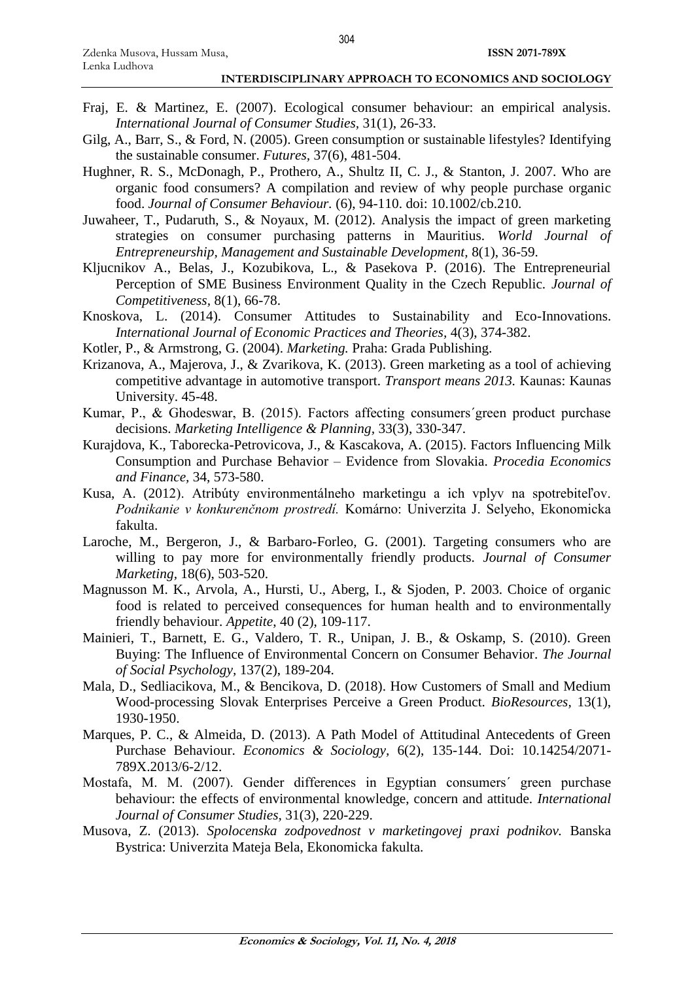- Fraj, E. & Martinez, E. (2007). Ecological consumer behaviour: an empirical analysis. *International Journal of Consumer Studies,* 31(1), 26-33.
- Gilg, A., Barr, S., & Ford, N. (2005). Green consumption or sustainable lifestyles? Identifying the sustainable consumer. *Futures,* 37(6), 481-504.
- Hughner, R. S., McDonagh, P., Prothero, A., Shultz II, C. J., & Stanton, J. 2007. Who are organic food consumers? A compilation and review of why people purchase organic food. *Journal of Consumer Behaviour.* (6), 94-110. doi: 10.1002/cb.210.
- Juwaheer, T., Pudaruth, S., & Noyaux, M. (2012). Analysis the impact of green marketing strategies on consumer purchasing patterns in Mauritius. *World Journal of Entrepreneurship, Management and Sustainable Development,* 8(1), 36-59.
- Kljucnikov A., Belas, J., Kozubikova, L., & Pasekova P. (2016). The Entrepreneurial Perception of SME Business Environment Quality in the Czech Republic. *Journal of Competitiveness,* 8(1), 66-78.
- Knoskova, L. (2014). Consumer Attitudes to Sustainability and Eco-Innovations. *International Journal of Economic Practices and Theories,* 4(3), 374-382.
- Kotler, P., & Armstrong, G. (2004). *Marketing.* Praha: Grada Publishing.
- Krizanova, A., Majerova, J., & Zvarikova, K. (2013). Green marketing as a tool of achieving competitive advantage in automotive transport. *Transport means 2013.* Kaunas: Kaunas University. 45-48.
- Kumar, P., & Ghodeswar, B. (2015). Factors affecting consumers´green product purchase decisions. *Marketing Intelligence & Planning,* 33(3), 330-347.
- Kurajdova, K., Taborecka-Petrovicova, J., & Kascakova, A. (2015). Factors Influencing Milk Consumption and Purchase Behavior – Evidence from Slovakia. *Procedia Economics and Finance,* 34, 573-580.
- Kusa, A. (2012). Atribúty environmentálneho marketingu a ich vplyv na spotrebiteľov. *Podnikanie v konkurenčnom prostredí.* Komárno: Univerzita J. Selyeho, Ekonomicka fakulta.
- Laroche, M., Bergeron, J., & Barbaro-Forleo, G. (2001). Targeting consumers who are willing to pay more for environmentally friendly products. *Journal of Consumer Marketing,* 18(6), 503-520.
- Magnusson M. K., Arvola, A., Hursti, U., Aberg, I., & Sjoden, P. 2003. Choice of organic food is related to perceived consequences for human health and to environmentally friendly behaviour. *Appetite*, 40 (2), 109-117.
- Mainieri, T., Barnett, E. G., Valdero, T. R., Unipan, J. B., & Oskamp, S. (2010). Green Buying: The Influence of Environmental Concern on Consumer Behavior. *The Journal of Social Psychology,* 137(2), 189-204.
- Mala, D., Sedliacikova, M., & Bencikova, D. (2018). How Customers of Small and Medium Wood-processing Slovak Enterprises Perceive a Green Product. *BioResources,* 13(1), 1930-1950.
- Marques, P. C., & Almeida, D. (2013). A Path Model of Attitudinal Antecedents of Green Purchase Behaviour. *Economics & Sociology,* 6(2), 135-144. Doi: 10.14254/2071- 789X.2013/6-2/12.
- Mostafa, M. M. (2007). Gender differences in Egyptian consumers´ green purchase behaviour: the effects of environmental knowledge, concern and attitude. *International Journal of Consumer Studies,* 31(3), 220-229.
- Musova, Z. (2013). *Spolocenska zodpovednost v marketingovej praxi podnikov.* Banska Bystrica: Univerzita Mateja Bela, Ekonomicka fakulta.